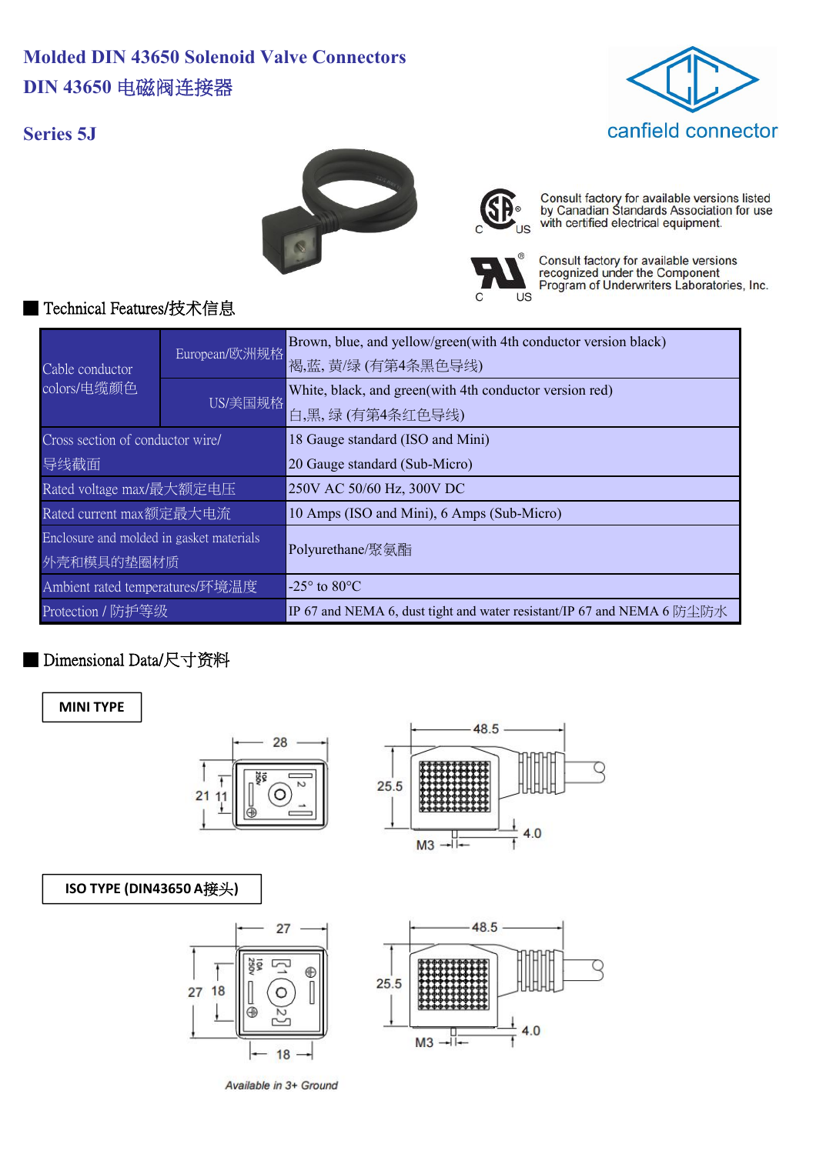# **Molded DIN 43650 Solenoid Valve Connectors DIN 43650** 电磁阀连接器





Consult factory for available versions listed<br>by Canadian Standards Association for use<br>with certified electrical equipment.



I IS

Consult factory for available versions<br>recognized under the Component<br>Program of Underwriters Laboratories, Inc.

### ■ Technical Features/技术信息

**Series 5J**

| Cable conductor<br>colors/电缆颜色           | European/欧洲规格 | Brown, blue, and yellow/green(with 4th conductor version black)        |
|------------------------------------------|---------------|------------------------------------------------------------------------|
|                                          |               | 褐,蓝,黄/绿(有第4条黑色导线)                                                      |
|                                          | US/美国规格       | White, black, and green(with 4th conductor version red)                |
|                                          |               | 白,黑,绿(有第4条红色导线)                                                        |
| Cross section of conductor wire/         |               | 18 Gauge standard (ISO and Mini)                                       |
| 导线截面                                     |               | 20 Gauge standard (Sub-Micro)                                          |
| Rated voltage max/最大额定电压                 |               | 250V AC 50/60 Hz, 300V DC                                              |
| Rated current max额定最大电流                  |               | 10 Amps (ISO and Mini), 6 Amps (Sub-Micro)                             |
| Enclosure and molded in gasket materials |               | Polyurethane/聚氨酯                                                       |
| 外壳和模具的垫圈材质                               |               |                                                                        |
| Ambient rated temperatures/环境温度          |               | -25 $\degree$ to 80 $\degree$ C                                        |
| Protection / 防护等级                        |               | IP 67 and NEMA 6, dust tight and water resistant/IP 67 and NEMA 6 防尘防水 |

### ■ Dimensional Data/尺寸资料

**MINI TYPE**





#### **ISO TYPE (DIN43650 A**接头**)**



Available in 3+ Ground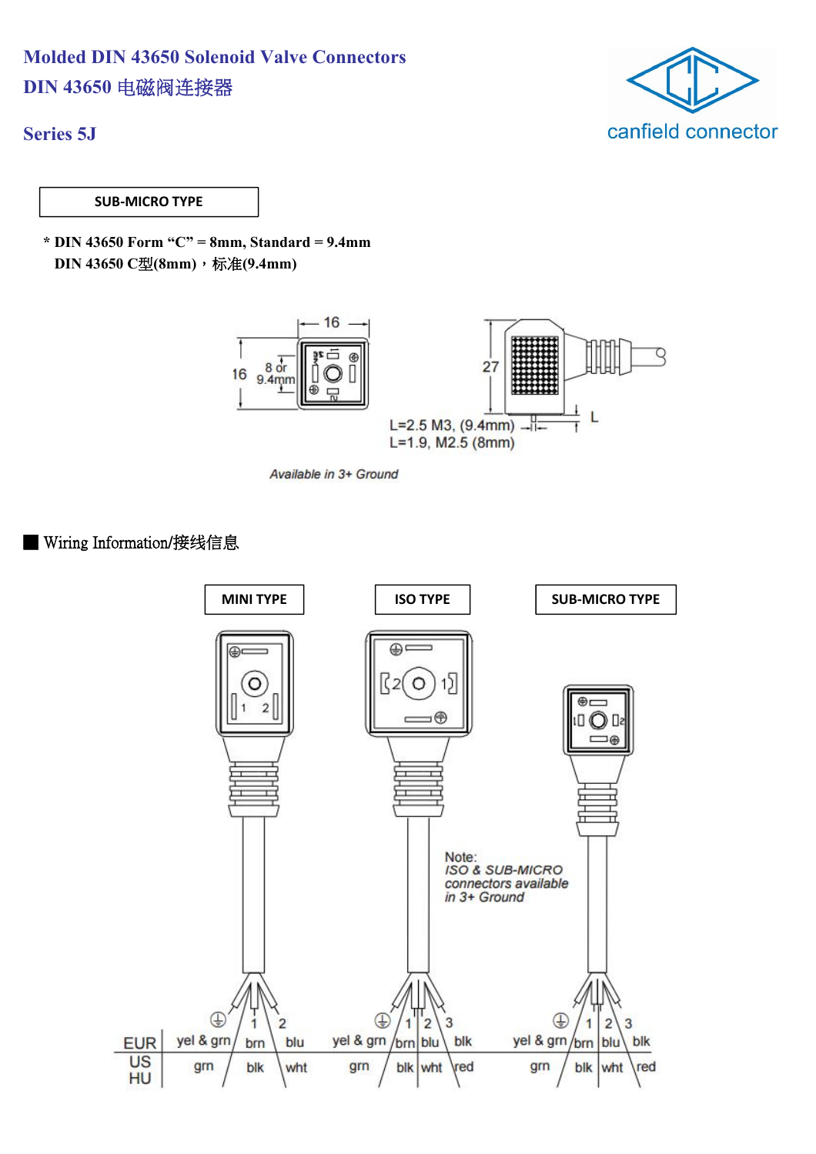## **Molded DIN 43650 Solenoid Valve Connectors DIN 43650** 电磁阀连接器



**Series 5J**

**SUB-MICRO TYPE**

**\* DIN 43650 Form "C" = 8mm, Standard = 9.4mm DIN 43650 C**型**(8mm)**,标准**(9.4mm)**



Available in 3+ Ground

■ Wiring Information/接线信息